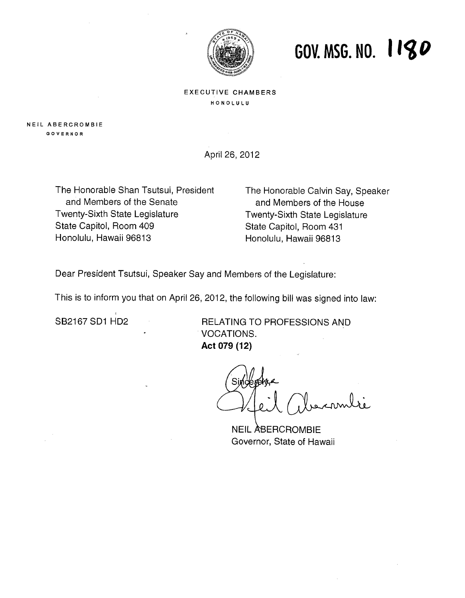

## **GOV. MSG. NO. I**

#### EXECUTIVE CHAMBERS **HONOLULU**

**NEIL ABERCROMBIE OOVERNOR** 

April 26, 2012

The Honorable Shan Tsutsui, President and Members of the Senate Twenty-Sixth State Legislature State Capitol, Room 409 Honolulu, Hawaii 96813

The Honorable Calvin Say, Speaker and Members of the House Twenty-Sixth State Legislature State Capitol, Room 431 Honolulu, Hawaii 96813

Dear President Tsutsui, Speaker Say and Members of the Legislature:

This is to inform you that on April 26, 2012, the following bill was signed into law:

SB2167 SD1 HD2 RELATING TO PROFESSIONS AND VOCATIONS. Act 079 (12)

NEIL ABERCROMBIE Governor, State of Hawaii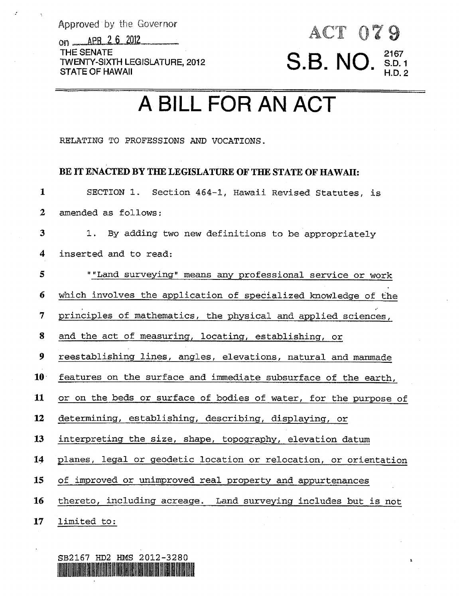Approved by the Governor

on <u>APR 2 6</u> 2012 THE **SENATE STATE OF HAWAII**  TWENTY-SIXTH LEGISLATURE, **201 2** S.B. **<sup>21</sup><sup>67</sup> S.D. 1** NO. **H.D. <sup>2</sup>**

# ACT 079

### **A** BILL FOR AN ACT

RELATING TO PROFESSIONS AND VOCATIONS.

#### **BE IT ENACTED BY** THE **LEGISLATURE OF THE STATE OF HAWAII:**

**1 2**  SECTION 1. Section 464-1, Hawaii Revised Statutes, is amended as follows:

**3**  1. By adding two new definitions to be appropriately

**4**  inserted and to read:

**5**  ""Land surveying" means any professional service **or** work

**6**  which involves the application of specialized knowledge of the

**7**  principles of mathematics, the physical and applied sciences,

*8*  and the act of measuring, locating, establishing, *or* 

**9**  reestablishing lines, angles, elevations, natural and manmade

**10**  features on the surface and immediate subsurface of the earth,

**11**  or on the beds *or* surface of bodies of water, for the purpose of

**12**  determining, establishing, describing, displaying, or

**13**  interpreting the size, shape, topography, elevation datum

**14**  planes, legal or geodetic Location or relocation, or orientation

**1s**  of improved or unimproved real property and appurtenances

**16**  thereto, including acreage. Land surveying includes but is not

**17**  limited to:

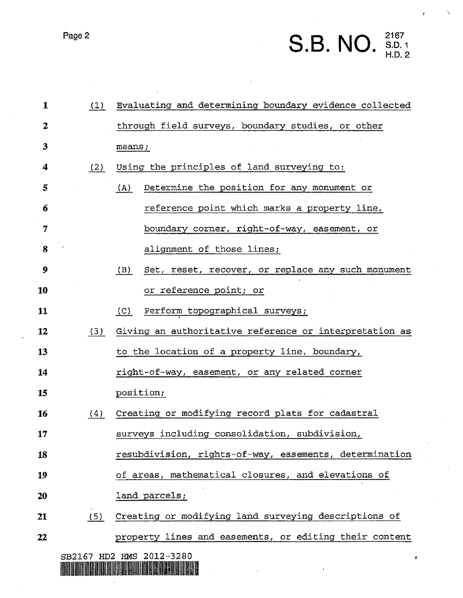Page 2 **2167 2167 2167 2167 2167 2167 2167 2167 2167 2167** 

| 1  | (1) | Evaluating and determining boundary evidence collected   |
|----|-----|----------------------------------------------------------|
| 2  |     | through field surveys, boundary studies, or other        |
| 3  |     | means;                                                   |
| 4  | (2) | Using the principles of land surveying to:               |
| 5  |     | Determine the position for any monument or<br>(A)        |
| 6  |     | reference point which marks a property line,             |
| 7  |     | boundary corner, right-of-way, easement, or              |
| 8  |     | alignment of those lines;                                |
| 9  |     | Set, reset, recover, or replace any such monument<br>(B) |
| 10 |     | or reference point; or                                   |
| 11 |     | Perform topographical surveys;<br>(C)                    |
| 12 | (3) | Giving an authoritative reference or interpretation as   |
| 13 |     | to the location of a property line, boundary,            |
| 14 |     | right-of-way, easement, or any related corner            |
| 15 |     | position;                                                |
| 16 | (4) | Creating or modifying record plats for cadastral         |
| 17 |     | surveys including consolidation, subdivision,            |
| 18 |     | resubdivision, rights-of-way, easements, determination   |
| 19 |     | of areas, mathematical closures, and elevations of       |
| 20 |     | land parcels;                                            |
| 21 | (5) | Creating or modifying land surveying descriptions of     |
| 22 |     | property lines and easements, or editing their content   |

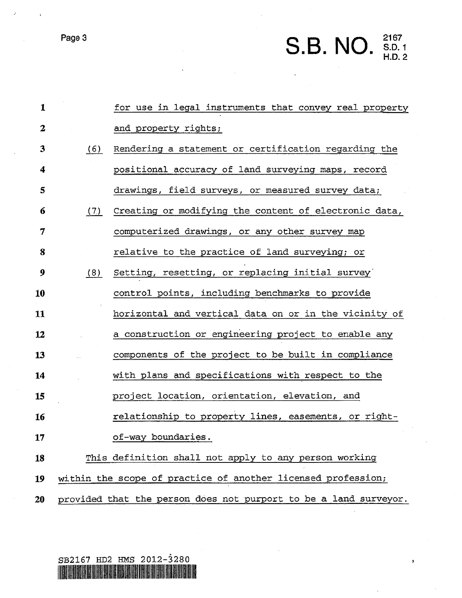## Page 3 **2167**<br>**2167**<br>**2167**<br>**2167**<br>**2167**<br>**2167**<br>**2167**

 $\bar{\mathbf{r}}$ 

| $\mathbf{1}$     |     | for use in legal instruments that convey real property           |
|------------------|-----|------------------------------------------------------------------|
| $\boldsymbol{2}$ |     | and property rights;                                             |
| 3                | (6) | Rendering a statement or certification regarding the             |
| 4                |     | positional accuracy of land surveying maps, record               |
| 5                |     | drawings, field surveys, or measured survey data;                |
| 6                | (7) | Creating or modifying the content of electronic data,            |
| $\overline{7}$   |     | computerized drawings, or any other survey map                   |
| 8                |     | relative to the practice of land surveying; or                   |
| 9                | (8) | Setting, resetting, or replacing initial survey                  |
| 10               |     | control points, including benchmarks to provide                  |
| 11               |     | horizontal and vertical data on or in the vicinity of            |
| 12               |     | a construction or engineering project to enable any              |
| 13               |     | components of the project to be built in compliance              |
| 14               |     | with plans and specifications with respect to the                |
| 15               |     | project location, orientation, elevation, and                    |
| 16               |     | relationship to property lines, easements, or right-             |
| 17               |     | of-way boundaries.                                               |
| 18               |     | This definition shall not apply to any person working            |
| 19               |     | within the scope of practice of another licensed profession;     |
| 20               |     | provided that the person does not purport to be a land surveyor. |

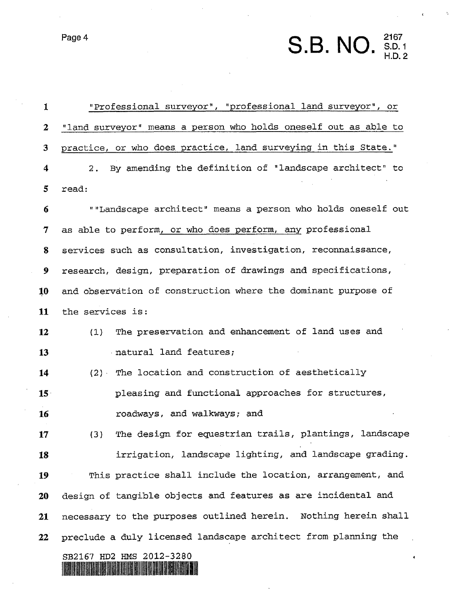**Page 4** 21 **67 <b>21 67 11 67 11 67 11 67 11 67 11 67 11 67 11 67 11 67 11 67 11 67 11 67 11 67 11 67 11 67 11 67 11 67 11 67 11 67 11 67 11 67 11 67 11 67 11 67 11 67 11 67 11 67 11 67 11 67 11 67 11 67 11 67 11 67 11 67 1** 

**I**  I7Professional surveyor", "professional land surveyor" *I* or "land surveyor" means a person who holds oneself out as able to **2**  practice, or who does practice, land surveying in this State." **3**  2. By amending the definition of "landscape architect" to **4**  *5*  read: **lr'Landscape** architect" means a person who holds oneself out **6**  as able to perform, or who does perform, any professional **7**  services such as consultation, investigation, reconnaissance, *8*  research, design, preparation of drawings and specifications, **9 10 and** observation of construction where the dominant purpose of **11**  the services is: The preservation and enhancement of land uses and **12**   $(1)$ **13**  natural land features; The location **and** construction **of** aesthetically **14**  pleasing and functional approaches for structures, **15 16**  roadways, and walkways; and The design for equestrian trails, plantings, landscape **17**   $(3)$ **18**  irrigation, landscape lighting, and landscape grading. This practice shall include the location, arrangement, and **19**  design of tangible objects and features as are **incidental** and *20*  necessary to the purposes outlined herein. Nothing herein shall **21**  preclude a duly licensed landscape architect from planning the *22*  **SB2167 HD2 HMS 2012-3280** <u>STABININ ALIFA</u>